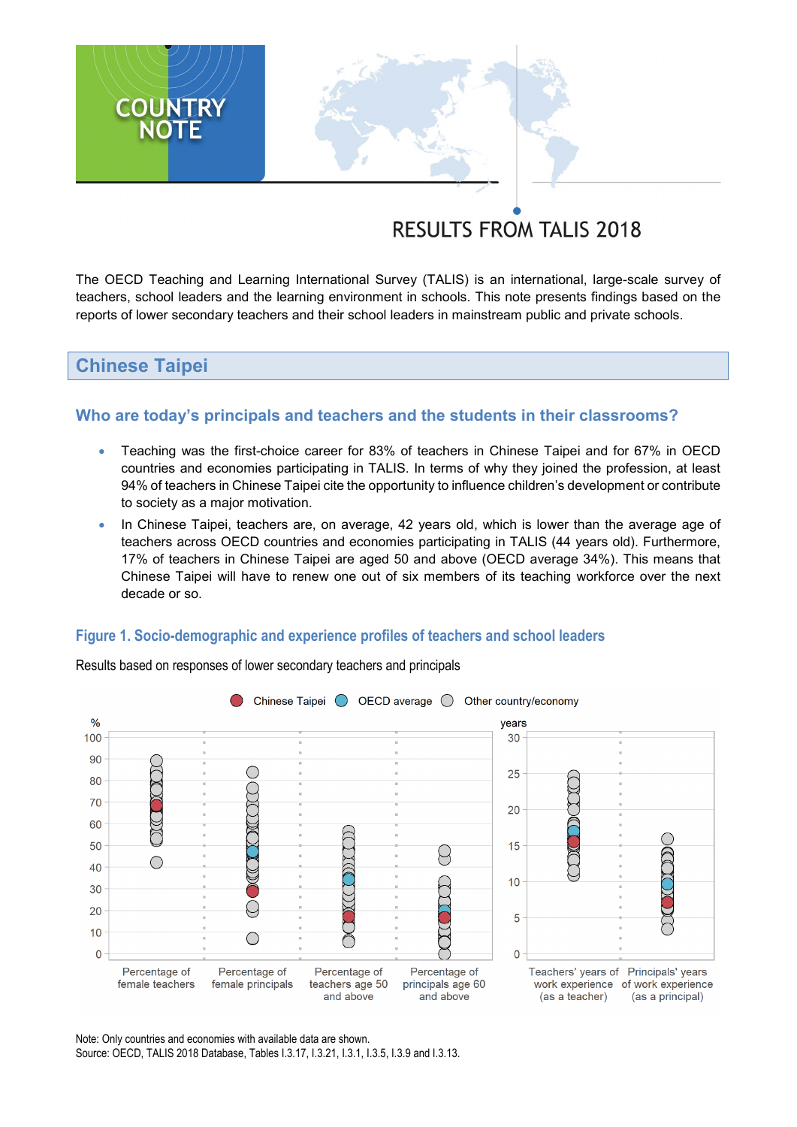# **RESULTS FROM TALIS 2018**

The OECD Teaching and Learning International Survey (TALIS) is an international, large-scale survey of teachers, school leaders and the learning environment in schools. This note presents findings based on the reports of lower secondary teachers and their school leaders in mainstream public and private schools.

# **Chinese Taipei**

**COUNTRY**<br>NOTE

## **Who are today's principals and teachers and the students in their classrooms?**

- Teaching was the first-choice career for 83% of teachers in Chinese Taipei and for 67% in OECD countries and economies participating in TALIS. In terms of why they joined the profession, at least 94% of teachers in Chinese Taipei cite the opportunity to influence children's development or contribute to society as a major motivation.
- In Chinese Taipei, teachers are, on average, 42 years old, which is lower than the average age of teachers across OECD countries and economies participating in TALIS (44 years old). Furthermore, 17% of teachers in Chinese Taipei are aged 50 and above (OECD average 34%). This means that Chinese Taipei will have to renew one out of six members of its teaching workforce over the next decade or so.

#### **Figure 1. Socio-demographic and experience profiles of teachers and school leaders**



Results based on responses of lower secondary teachers and principals

Note: Only countries and economies with available data are shown. Source: OECD, TALIS 2018 Database, Tables I.3.17, I.3.21, I.3.1, I.3.5, I.3.9 and I.3.13.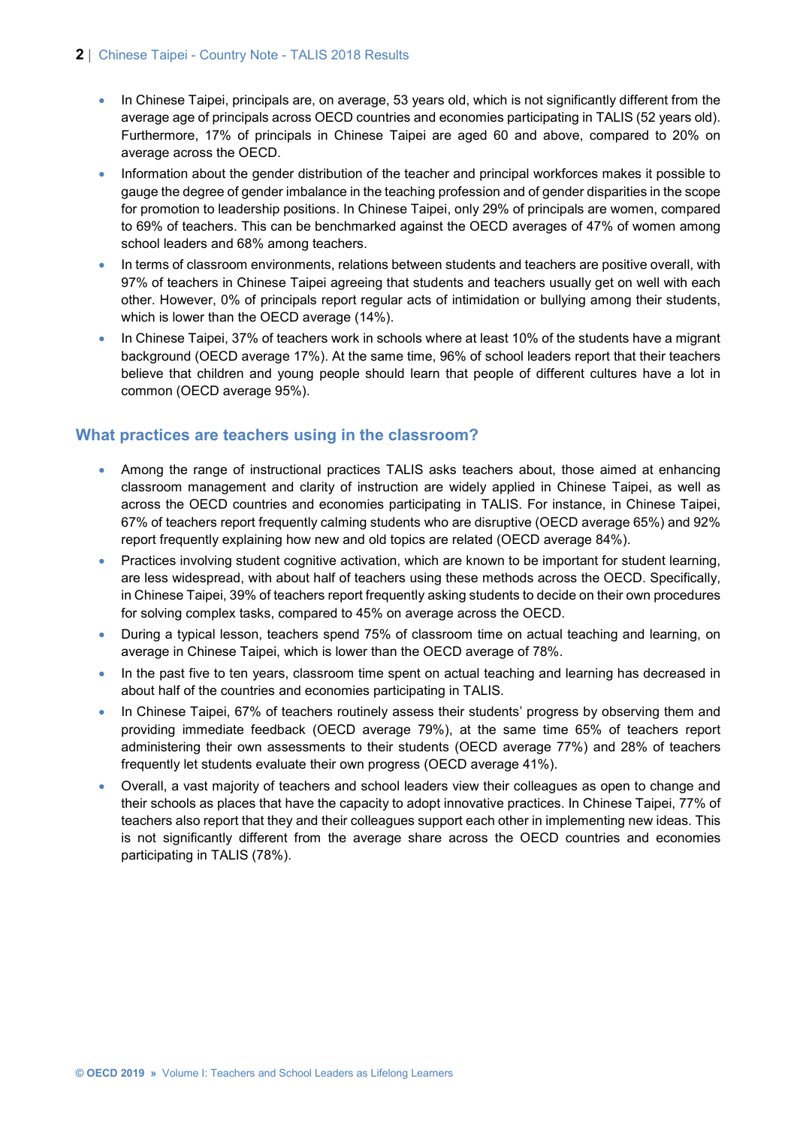#### **2** | Chinese Taipei - Country Note - TALIS 2018 Results

- In Chinese Taipei, principals are, on average, 53 years old, which is not significantly different from the average age of principals across OECD countries and economies participating in TALIS (52 years old). Furthermore, 17% of principals in Chinese Taipei are aged 60 and above, compared to 20% on average across the OECD.
- Information about the gender distribution of the teacher and principal workforces makes it possible to gauge the degree of gender imbalance in the teaching profession and of gender disparities in the scope for promotion to leadership positions. In Chinese Taipei, only 29% of principals are women, compared to 69% of teachers. This can be benchmarked against the OECD averages of 47% of women among school leaders and 68% among teachers.
- In terms of classroom environments, relations between students and teachers are positive overall, with 97% of teachers in Chinese Taipei agreeing that students and teachers usually get on well with each other. However, 0% of principals report regular acts of intimidation or bullying among their students, which is lower than the OECD average (14%).
- In Chinese Taipei, 37% of teachers work in schools where at least 10% of the students have a migrant background (OECD average 17%). At the same time, 96% of school leaders report that their teachers believe that children and young people should learn that people of different cultures have a lot in common (OECD average 95%).

## **What practices are teachers using in the classroom?**

- Among the range of instructional practices TALIS asks teachers about, those aimed at enhancing classroom management and clarity of instruction are widely applied in Chinese Taipei, as well as across the OECD countries and economies participating in TALIS. For instance, in Chinese Taipei, 67% of teachers report frequently calming students who are disruptive (OECD average 65%) and 92% report frequently explaining how new and old topics are related (OECD average 84%).
- Practices involving student cognitive activation, which are known to be important for student learning, are less widespread, with about half of teachers using these methods across the OECD. Specifically, in Chinese Taipei, 39% of teachers report frequently asking students to decide on their own procedures for solving complex tasks, compared to 45% on average across the OECD.
- During a typical lesson, teachers spend 75% of classroom time on actual teaching and learning, on average in Chinese Taipei, which is lower than the OECD average of 78%.
- In the past five to ten years, classroom time spent on actual teaching and learning has decreased in about half of the countries and economies participating in TALIS.
- In Chinese Taipei, 67% of teachers routinely assess their students' progress by observing them and providing immediate feedback (OECD average 79%), at the same time 65% of teachers report administering their own assessments to their students (OECD average 77%) and 28% of teachers frequently let students evaluate their own progress (OECD average 41%).
- Overall, a vast majority of teachers and school leaders view their colleagues as open to change and their schools as places that have the capacity to adopt innovative practices. In Chinese Taipei, 77% of teachers also report that they and their colleagues support each other in implementing new ideas. This is not significantly different from the average share across the OECD countries and economies participating in TALIS (78%).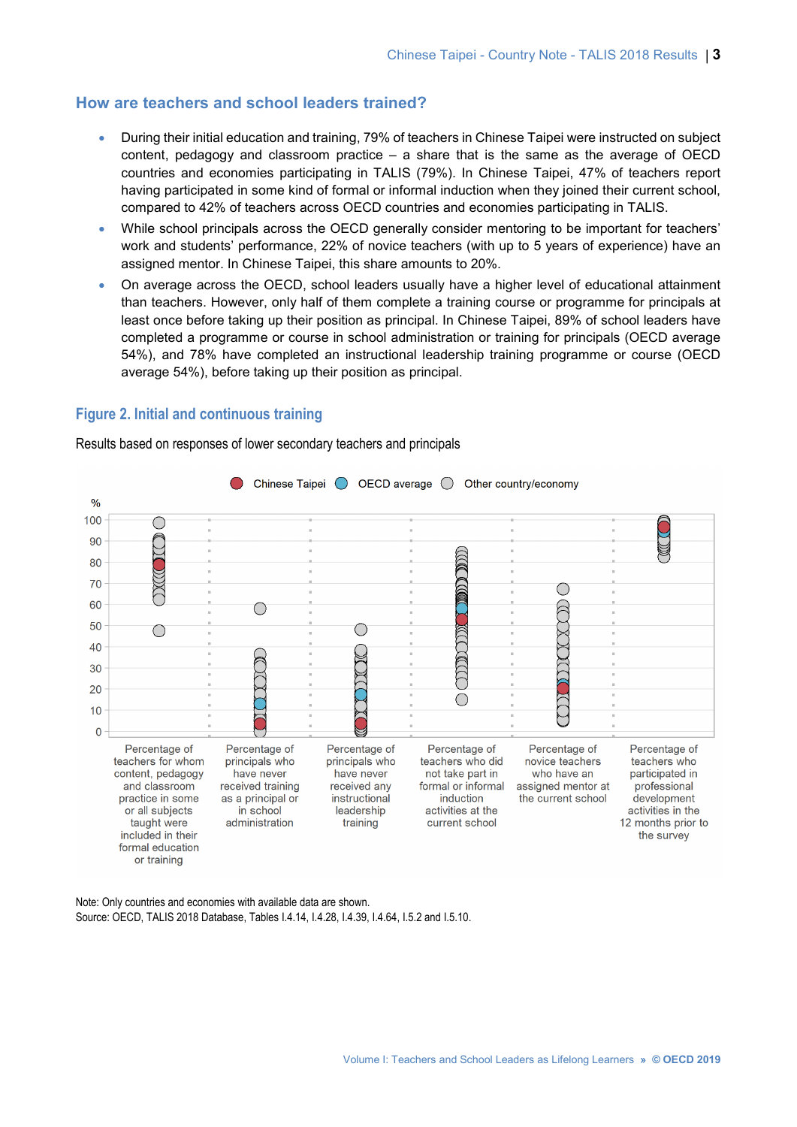### **How are teachers and school leaders trained?**

- During their initial education and training, 79% of teachers in Chinese Taipei were instructed on subject content, pedagogy and classroom practice – a share that is the same as the average of OECD countries and economies participating in TALIS (79%). In Chinese Taipei, 47% of teachers report having participated in some kind of formal or informal induction when they joined their current school, compared to 42% of teachers across OECD countries and economies participating in TALIS.
- While school principals across the OECD generally consider mentoring to be important for teachers' work and students' performance, 22% of novice teachers (with up to 5 years of experience) have an assigned mentor. In Chinese Taipei, this share amounts to 20%.
- On average across the OECD, school leaders usually have a higher level of educational attainment than teachers. However, only half of them complete a training course or programme for principals at least once before taking up their position as principal. In Chinese Taipei, 89% of school leaders have completed a programme or course in school administration or training for principals (OECD average 54%), and 78% have completed an instructional leadership training programme or course (OECD average 54%), before taking up their position as principal.

#### **Figure 2. Initial and continuous training**

Results based on responses of lower secondary teachers and principals



Note: Only countries and economies with available data are shown. Source: OECD, TALIS 2018 Database, Tables I.4.14, I.4.28, I.4.39, I.4.64, I.5.2 and I.5.10.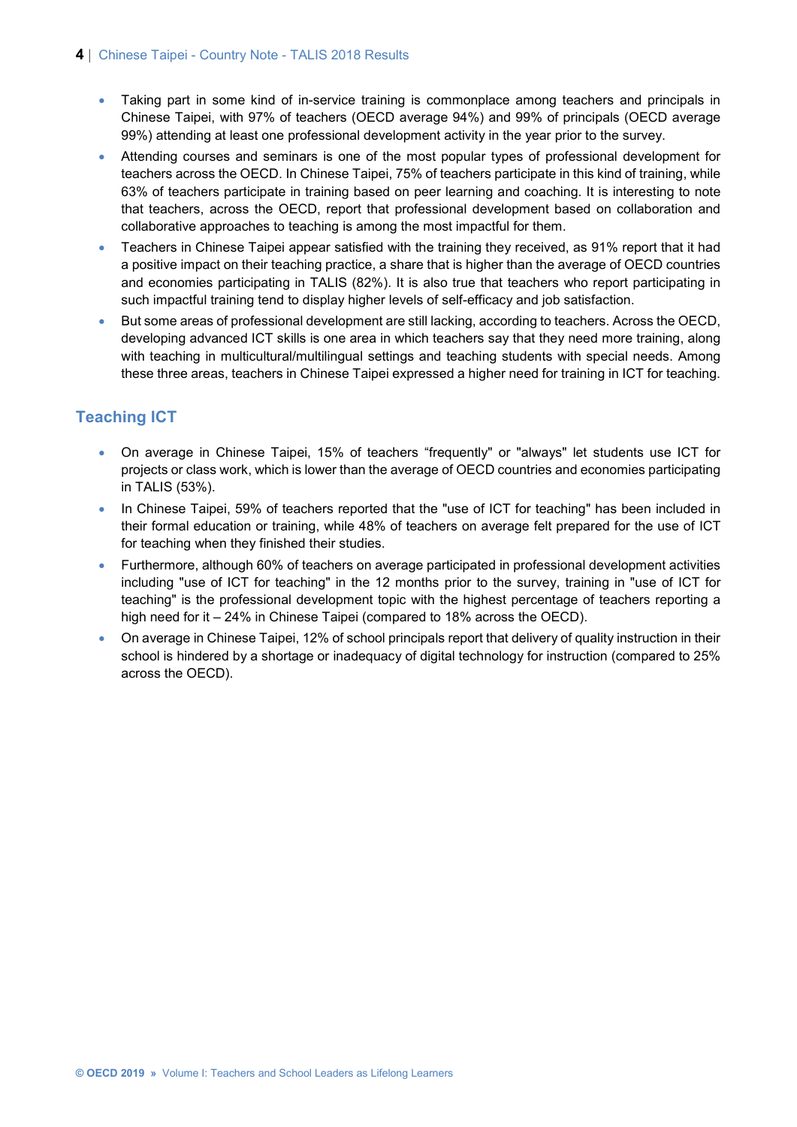#### **4** | Chinese Taipei - Country Note - TALIS 2018 Results

- Taking part in some kind of in-service training is commonplace among teachers and principals in Chinese Taipei, with 97% of teachers (OECD average 94%) and 99% of principals (OECD average 99%) attending at least one professional development activity in the year prior to the survey.
- Attending courses and seminars is one of the most popular types of professional development for teachers across the OECD. In Chinese Taipei, 75% of teachers participate in this kind of training, while 63% of teachers participate in training based on peer learning and coaching. It is interesting to note that teachers, across the OECD, report that professional development based on collaboration and collaborative approaches to teaching is among the most impactful for them.
- Teachers in Chinese Taipei appear satisfied with the training they received, as 91% report that it had a positive impact on their teaching practice, a share that is higher than the average of OECD countries and economies participating in TALIS (82%). It is also true that teachers who report participating in such impactful training tend to display higher levels of self-efficacy and job satisfaction.
- But some areas of professional development are still lacking, according to teachers. Across the OECD, developing advanced ICT skills is one area in which teachers say that they need more training, along with teaching in multicultural/multilingual settings and teaching students with special needs. Among these three areas, teachers in Chinese Taipei expressed a higher need for training in ICT for teaching.

# **Teaching ICT**

- On average in Chinese Taipei, 15% of teachers "frequently" or "always" let students use ICT for projects or class work, which is lower than the average of OECD countries and economies participating in TALIS (53%).
- In Chinese Taipei, 59% of teachers reported that the "use of ICT for teaching" has been included in their formal education or training, while 48% of teachers on average felt prepared for the use of ICT for teaching when they finished their studies.
- Furthermore, although 60% of teachers on average participated in professional development activities including "use of ICT for teaching" in the 12 months prior to the survey, training in "use of ICT for teaching" is the professional development topic with the highest percentage of teachers reporting a high need for it – 24% in Chinese Taipei (compared to 18% across the OECD).
- On average in Chinese Taipei, 12% of school principals report that delivery of quality instruction in their school is hindered by a shortage or inadequacy of digital technology for instruction (compared to 25% across the OECD).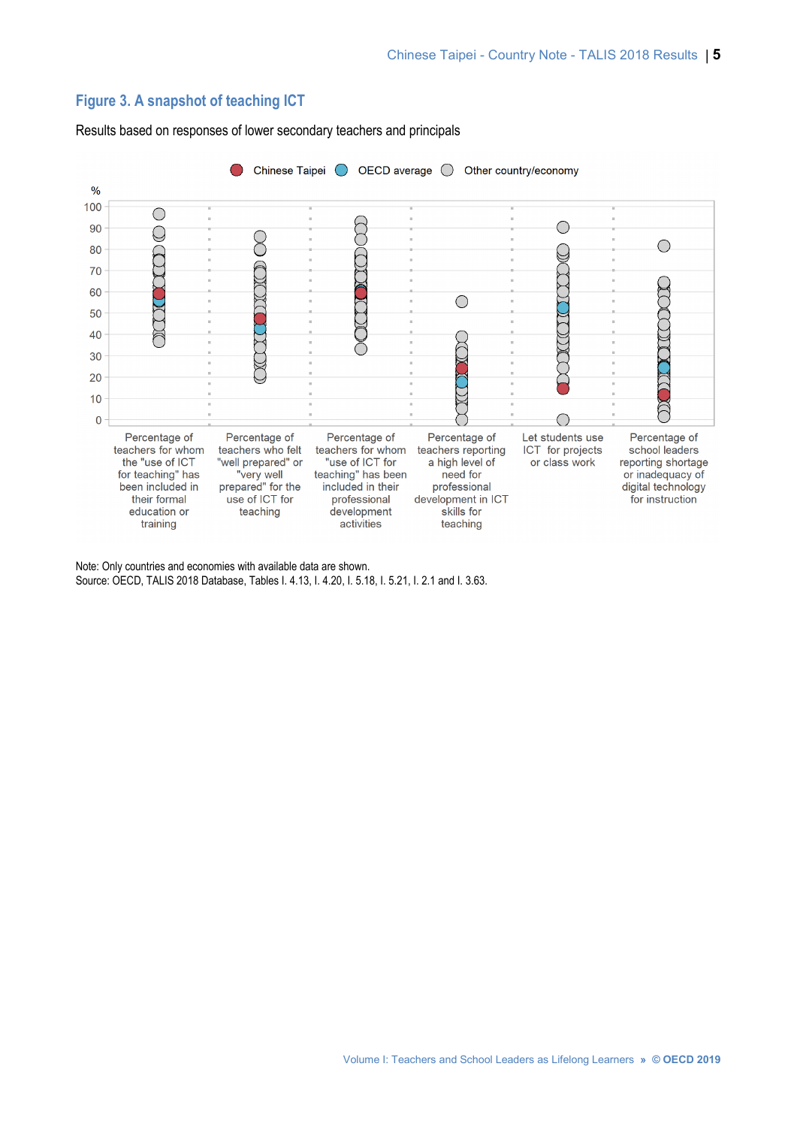# **Figure 3. A snapshot of teaching ICT**

Chinese Taipei (Canal CD average C) Other country/economy  $\bigcirc$  $\frac{9}{6}$ 100  $\bigcirc$  $\bigcirc$  $\bigcirc$ 90  $\overline{\mathbb{C}}$  $\infty$  $\bigcirc$ 80  $\Gamma(\Gamma)$  $\mathbb Q$ F  $\widetilde{C}$ 70 TTTT 60 DIC  $\bigcirc$ 50  $\sum_{i=1}^{n}$ XXIIX  $\bigcap \mathbb{C}$ 40 F 30 C Y JIK  $20$  $10$ **CODE**  $\bigcap$  $\overline{0}$ Percentage of Percentage of Percentage of Percentage of Let students use Percentage of teachers for whom teachers who felt teachers for whom teachers reporting ICT for projects school leaders the "use of ICT "well prepared" or "use of ICT for a high level of or class work reporting shortage "very well<br>"very well<br>prepared" for the or inadequacy of for teaching" has teaching" has been need for been included in included in their professional digital technology use of ICT for development in ICT their formal professional for instruction education or teaching development skills for training activities teaching

Results based on responses of lower secondary teachers and principals

Note: Only countries and economies with available data are shown. Source: OECD, TALIS 2018 Database, Tables I. 4.13, I. 4.20, I. 5.18, I. 5.21, I. 2.1 and I. 3.63.